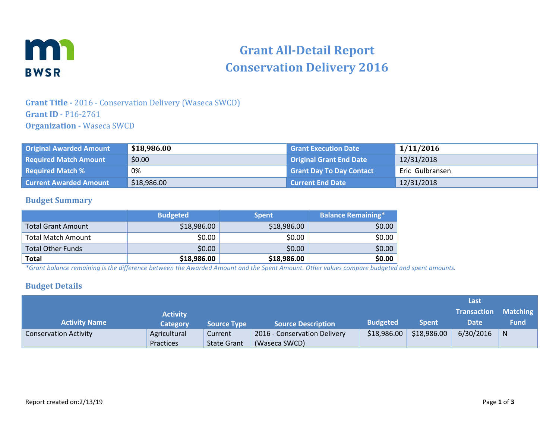

# **Grant All-Detail Report Conservation Delivery 2016**

## **Grant Title -** 2016 - Conservation Delivery (Waseca SWCD) **Grant ID** - P16-2761 **Organization -** Waseca SWCD

| <b>Original Awarded Amount</b> | \$18,986.00 | <b>Grant Execution Date</b>     | 1/11/2016       |
|--------------------------------|-------------|---------------------------------|-----------------|
| <b>Required Match Amount</b>   | \$0.00      | <b>Original Grant End Date</b>  | 12/31/2018      |
| <b>Required Match %</b>        | 0%          | <b>Grant Day To Day Contact</b> | Eric Gulbransen |
| <b>Current Awarded Amount</b>  | \$18,986.00 | <b>Current End Date</b>         | 12/31/2018      |

#### **Budget Summary**

|                           | <b>Budgeted</b> | <b>Spent</b> | <b>Balance Remaining*1</b> |
|---------------------------|-----------------|--------------|----------------------------|
| <b>Total Grant Amount</b> | \$18,986.00     | \$18,986.00  | \$0.00                     |
| <b>Total Match Amount</b> | \$0.00          | \$0.00       | \$0.00                     |
| <b>Total Other Funds</b>  | \$0.00          | \$0.00       | \$0.00                     |
| <b>Total</b>              | \$18,986.00     | \$18,986.00  | \$0.00                     |

*\*Grant balance remaining is the difference between the Awarded Amount and the Spent Amount. Other values compare budgeted and spent amounts.*

#### **Budget Details**

|                              |                 |                    |                              |                 |              | Last        |                 |
|------------------------------|-----------------|--------------------|------------------------------|-----------------|--------------|-------------|-----------------|
|                              | <b>Activity</b> |                    |                              |                 |              | Transaction | <b>Matching</b> |
| <b>Activity Name</b>         | <b>Category</b> | <b>Source Type</b> | <b>Source Description</b>    | <b>Budgeted</b> | <b>Spent</b> | Date        | <b>Fund</b>     |
| <b>Conservation Activity</b> | Agricultural    | Current            | 2016 - Conservation Delivery | \$18,986.00     | \$18,986.00  | 6/30/2016   | N               |
|                              | Practices       | <b>State Grant</b> | (Waseca SWCD)                |                 |              |             |                 |